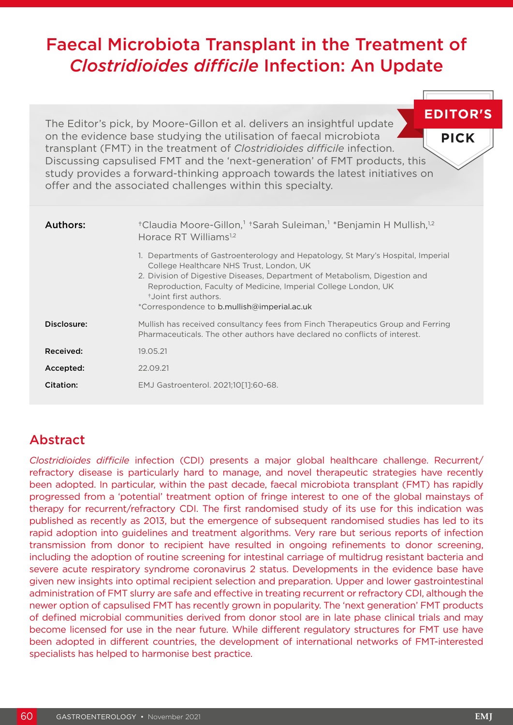# Faecal Microbiota Transplant in the Treatment of *Clostridioides difficile* Infection: An Update

**EDITOR'S** The Editor's pick, by Moore-Gillon et al. delivers an insightful update on the evidence base studying the utilisation of faecal microbiota **PICK** transplant (FMT) in the treatment of *Clostridioides difficile* infection. Discussing capsulised FMT and the 'next-generation' of FMT products, this study provides a forward-thinking approach towards the latest initiatives on offer and the associated challenges within this specialty.

| Authors:    | <sup>†</sup> Claudia Moore-Gillon, <sup>1</sup> †Sarah Suleiman, <sup>1</sup> *Benjamin H Mullish, <sup>1,2</sup><br>Horace RT Williams <sup>1,2</sup>                                                                                                                                                                                               |
|-------------|------------------------------------------------------------------------------------------------------------------------------------------------------------------------------------------------------------------------------------------------------------------------------------------------------------------------------------------------------|
|             | 1. Departments of Gastroenterology and Hepatology, St Mary's Hospital, Imperial<br>College Healthcare NHS Trust, London, UK<br>2. Division of Digestive Diseases, Department of Metabolism, Digestion and<br>Reproduction, Faculty of Medicine, Imperial College London, UK<br>t.Joint first authors.<br>*Correspondence to b.mullish@imperial.ac.uk |
| Disclosure: | Mullish has received consultancy fees from Finch Therapeutics Group and Ferring<br>Pharmaceuticals. The other authors have declared no conflicts of interest.                                                                                                                                                                                        |
| Received:   | 19.05.21                                                                                                                                                                                                                                                                                                                                             |
| Accepted:   | 22.09.21                                                                                                                                                                                                                                                                                                                                             |
| Citation:   | EMJ Gastroenterol. 2021;10[1]:60-68.                                                                                                                                                                                                                                                                                                                 |

# Abstract

*Clostridioides difficile* infection (CDI) presents a major global healthcare challenge. Recurrent/ refractory disease is particularly hard to manage, and novel therapeutic strategies have recently been adopted. In particular, within the past decade, faecal microbiota transplant (FMT) has rapidly progressed from a 'potential' treatment option of fringe interest to one of the global mainstays of therapy for recurrent/refractory CDI. The first randomised study of its use for this indication was published as recently as 2013, but the emergence of subsequent randomised studies has led to its rapid adoption into guidelines and treatment algorithms. Very rare but serious reports of infection transmission from donor to recipient have resulted in ongoing refinements to donor screening, including the adoption of routine screening for intestinal carriage of multidrug resistant bacteria and severe acute respiratory syndrome coronavirus 2 status. Developments in the evidence base have given new insights into optimal recipient selection and preparation. Upper and lower gastrointestinal administration of FMT slurry are safe and effective in treating recurrent or refractory CDI, although the newer option of capsulised FMT has recently grown in popularity. The 'next generation' FMT products of defined microbial communities derived from donor stool are in late phase clinical trials and may become licensed for use in the near future. While different regulatory structures for FMT use have been adopted in different countries, the development of international networks of FMT-interested specialists has helped to harmonise best practice.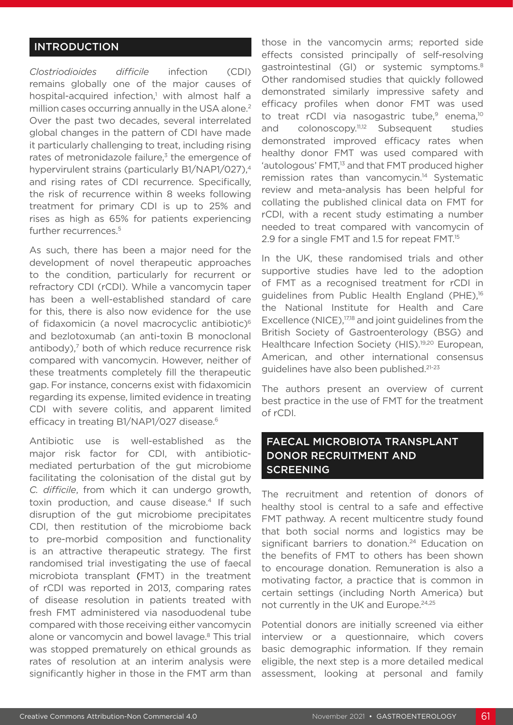### INTRODUCTION

*Clostriodioides difficile* infection (CDI) remains globally one of the major causes of hospital-acquired infection,<sup>1</sup> with almost half a million cases occurring annually in the USA alone.<sup>2</sup> Over the past two decades, several interrelated global changes in the pattern of CDI have made it particularly challenging to treat, including rising rates of metronidazole failure, $3$  the emergence of hypervirulent strains (particularly B1/NAP1/027),<sup>4</sup> and rising rates of CDI recurrence. Specifically, the risk of recurrence within 8 weeks following treatment for primary CDI is up to 25% and rises as high as 65% for patients experiencing further recurrences.<sup>5</sup>

As such, there has been a major need for the development of novel therapeutic approaches to the condition, particularly for recurrent or refractory CDI (rCDI). While a vancomycin taper has been a well-established standard of care for this, there is also now evidence for the use of fidaxomicin (a novel macrocyclic antibiotic)<sup>6</sup> and bezlotoxumab (an anti-toxin B monoclonal antibody),<sup>7</sup> both of which reduce recurrence risk compared with vancomycin. However, neither of these treatments completely fill the therapeutic gap. For instance, concerns exist with fidaxomicin regarding its expense, limited evidence in treating CDI with severe colitis, and apparent limited efficacy in treating B1/NAP1/027 disease.<sup>6</sup>

Antibiotic use is well-established as the major risk factor for CDI, with antibioticmediated perturbation of the gut microbiome facilitating the colonisation of the distal gut by *C. difficile*, from which it can undergo growth, toxin production, and cause disease.<sup>4</sup> If such disruption of the gut microbiome precipitates CDI, then restitution of the microbiome back to pre-morbid composition and functionality is an attractive therapeutic strategy. The first randomised trial investigating the use of faecal microbiota transplant (FMT) in the treatment of rCDI was reported in 2013, comparing rates of disease resolution in patients treated with fresh FMT administered via nasoduodenal tube compared with those receiving either vancomycin alone or vancomycin and bowel lavage.<sup>8</sup> This trial was stopped prematurely on ethical grounds as rates of resolution at an interim analysis were significantly higher in those in the FMT arm than

those in the vancomycin arms; reported side effects consisted principally of self-resolving gastrointestinal (GI) or systemic symptoms.<sup>8</sup> Other randomised studies that quickly followed demonstrated similarly impressive safety and efficacy profiles when donor FMT was used to treat rCDI via nasogastric tube, $9$  enema, $10$ and colonoscopy.<sup>11,12</sup> Subsequent studies demonstrated improved efficacy rates when healthy donor FMT was used compared with 'autologous' FMT,<sup>13</sup> and that FMT produced higher remission rates than vancomycin.14 Systematic review and meta-analysis has been helpful for collating the published clinical data on FMT for rCDI, with a recent study estimating a number needed to treat compared with vancomycin of 2.9 for a single FMT and 1.5 for repeat FMT.<sup>15</sup>

In the UK, these randomised trials and other supportive studies have led to the adoption of FMT as a recognised treatment for rCDI in guidelines from Public Health England (PHE),<sup>16</sup> the National Institute for Health and Care Excellence (NICE),<sup>17,18</sup> and joint guidelines from the British Society of Gastroenterology (BSG) and Healthcare Infection Society (HIS).<sup>19,20</sup> European, American, and other international consensus guidelines have also been published.<sup>21-23</sup>

The authors present an overview of current best practice in the use of FMT for the treatment of rCDI.

# FAECAL MICROBIOTA TRANSPLANT DONOR RECRUITMENT AND **SCREENING**

The recruitment and retention of donors of healthy stool is central to a safe and effective FMT pathway. A recent multicentre study found that both social norms and logistics may be significant barriers to donation.<sup>24</sup> Education on the benefits of FMT to others has been shown to encourage donation. Remuneration is also a motivating factor, a practice that is common in certain settings (including North America) but not currently in the UK and Europe.<sup>24,25</sup>

Potential donors are initially screened via either interview or a questionnaire, which covers basic demographic information. If they remain eligible, the next step is a more detailed medical assessment, looking at personal and family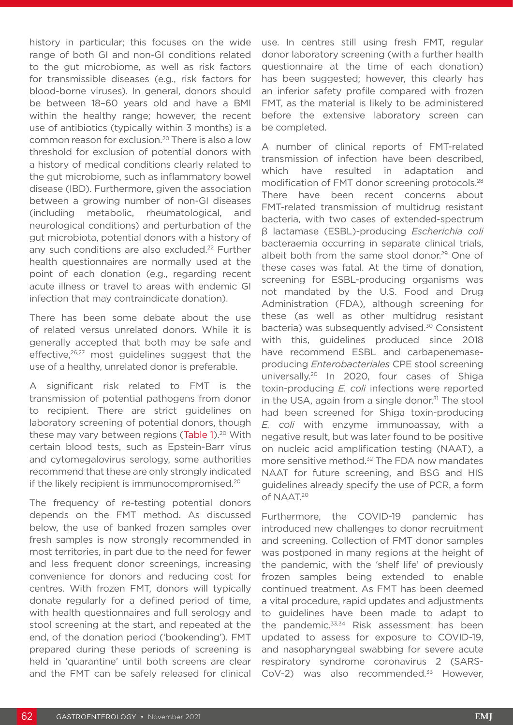history in particular; this focuses on the wide range of both GI and non-GI conditions related to the gut microbiome, as well as risk factors for transmissible diseases (e.g., risk factors for blood-borne viruses). In general, donors should be between 18–60 years old and have a BMI within the healthy range; however, the recent use of antibiotics (typically within 3 months) is a common reason for exclusion.20 There is also a low threshold for exclusion of potential donors with a history of medical conditions clearly related to the gut microbiome, such as inflammatory bowel disease (IBD). Furthermore, given the association between a growing number of non-GI diseases (including metabolic, rheumatological, and neurological conditions) and perturbation of the gut microbiota, potential donors with a history of any such conditions are also excluded.<sup>22</sup> Further health questionnaires are normally used at the point of each donation (e.g., regarding recent acute illness or travel to areas with endemic GI infection that may contraindicate donation).

There has been some debate about the use of related versus unrelated donors. While it is generally accepted that both may be safe and effective,<sup>26,27</sup> most guidelines suggest that the use of a healthy, unrelated donor is preferable.

A significant risk related to FMT is the transmission of potential pathogens from donor to recipient. There are strict guidelines on laboratory screening of potential donors, though these may vary between regions (Table 1).<sup>20</sup> With certain blood tests, such as Epstein-Barr virus and cytomegalovirus serology, some authorities recommend that these are only strongly indicated if the likely recipient is immunocompromised.20

The frequency of re-testing potential donors depends on the FMT method. As discussed below, the use of banked frozen samples over fresh samples is now strongly recommended in most territories, in part due to the need for fewer and less frequent donor screenings, increasing convenience for donors and reducing cost for centres. With frozen FMT, donors will typically donate regularly for a defined period of time, with health questionnaires and full serology and stool screening at the start, and repeated at the end, of the donation period ('bookending'). FMT prepared during these periods of screening is held in 'quarantine' until both screens are clear and the FMT can be safely released for clinical

use. In centres still using fresh FMT, regular donor laboratory screening (with a further health questionnaire at the time of each donation) has been suggested; however, this clearly has an inferior safety profile compared with frozen FMT, as the material is likely to be administered before the extensive laboratory screen can be completed.

A number of clinical reports of FMT-related transmission of infection have been described, which have resulted in adaptation and modification of FMT donor screening protocols.28 There have been recent concerns about FMT-related transmission of multidrug resistant bacteria, with two cases of extended-spectrum β lactamase (ESBL)-producing *Escherichia coli* bacteraemia occurring in separate clinical trials, albeit both from the same stool donor.<sup>29</sup> One of these cases was fatal. At the time of donation, screening for ESBL-producing organisms was not mandated by the U.S. Food and Drug Administration (FDA), although screening for these (as well as other multidrug resistant bacteria) was subsequently advised.<sup>30</sup> Consistent with this, guidelines produced since 2018 have recommend ESBL and carbapenemaseproducing *Enterobacteriales* CPE stool screening universally.<sup>20</sup> In 2020, four cases of Shiga toxin-producing *E. coli* infections were reported in the USA, again from a single donor. $31$  The stool had been screened for Shiga toxin-producing *E. coli* with enzyme immunoassay, with a negative result, but was later found to be positive on nucleic acid amplification testing (NAAT), a more sensitive method.<sup>32</sup> The FDA now mandates NAAT for future screening, and BSG and HIS guidelines already specify the use of PCR, a form of NAAT.20

Furthermore, the COVID-19 pandemic has introduced new challenges to donor recruitment and screening. Collection of FMT donor samples was postponed in many regions at the height of the pandemic, with the 'shelf life' of previously frozen samples being extended to enable continued treatment. As FMT has been deemed a vital procedure, rapid updates and adjustments to guidelines have been made to adapt to the pandemic.<sup>33,34</sup> Risk assessment has been updated to assess for exposure to COVID-19, and nasopharyngeal swabbing for severe acute respiratory syndrome coronavirus 2 (SARS-CoV-2) was also recommended. $33$  However,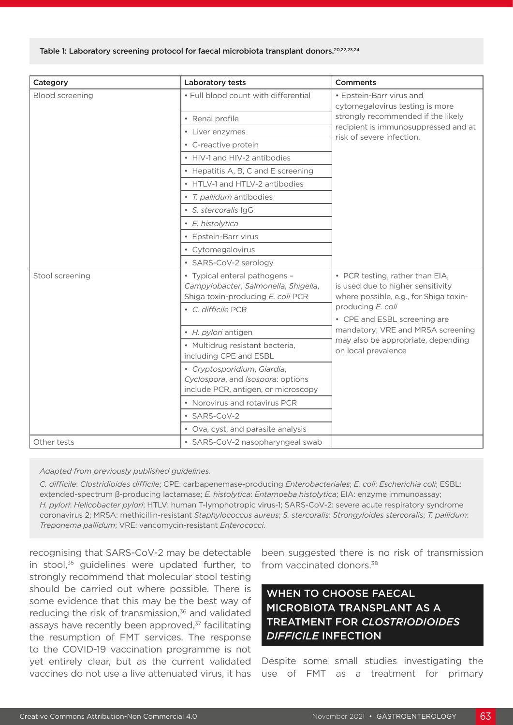### Table 1: Laboratory screening protocol for faecal microbiota transplant donors.<sup>20,22,23,24</sup>

| Category        | Laboratory tests                                                                                                                                                                                                             | Comments                                                                                                                                                               |
|-----------------|------------------------------------------------------------------------------------------------------------------------------------------------------------------------------------------------------------------------------|------------------------------------------------------------------------------------------------------------------------------------------------------------------------|
| Blood screening | . Full blood count with differential                                                                                                                                                                                         | • Epstein-Barr virus and<br>cytomegalovirus testing is more<br>strongly recommended if the likely<br>recipient is immunosuppressed and at<br>risk of severe infection. |
|                 | • Renal profile                                                                                                                                                                                                              |                                                                                                                                                                        |
|                 | • Liver enzymes                                                                                                                                                                                                              |                                                                                                                                                                        |
|                 | • C-reactive protein                                                                                                                                                                                                         |                                                                                                                                                                        |
|                 | • HIV-1 and HIV-2 antibodies                                                                                                                                                                                                 |                                                                                                                                                                        |
|                 | • Hepatitis A, B, C and E screening                                                                                                                                                                                          |                                                                                                                                                                        |
|                 | • HTLV-1 and HTLV-2 antibodies                                                                                                                                                                                               |                                                                                                                                                                        |
|                 | • T. pallidum antibodies                                                                                                                                                                                                     |                                                                                                                                                                        |
|                 | · S. stercoralis IgG                                                                                                                                                                                                         |                                                                                                                                                                        |
|                 | • E. histolytica                                                                                                                                                                                                             |                                                                                                                                                                        |
|                 | • Epstein-Barr virus                                                                                                                                                                                                         |                                                                                                                                                                        |
|                 | • Cytomegalovirus                                                                                                                                                                                                            |                                                                                                                                                                        |
|                 | • SARS-CoV-2 serology                                                                                                                                                                                                        |                                                                                                                                                                        |
| Stool screening | • Typical enteral pathogens -<br>• PCR testing, rather than EIA,<br>Campylobacter, Salmonella, Shigella,<br>is used due to higher sensitivity<br>Shiga toxin-producing E. coli PCR<br>where possible, e.g., for Shiga toxin- |                                                                                                                                                                        |
|                 | • C. difficile PCR                                                                                                                                                                                                           | producing E. coli<br>• CPE and ESBL screening are<br>mandatory; VRE and MRSA screening<br>may also be appropriate, depending<br>on local prevalence                    |
|                 |                                                                                                                                                                                                                              |                                                                                                                                                                        |
|                 | • H. pylori antigen                                                                                                                                                                                                          |                                                                                                                                                                        |
|                 | · Multidrug resistant bacteria,<br>including CPE and ESBL                                                                                                                                                                    |                                                                                                                                                                        |
|                 | • Cryptosporidium, Giardia,<br>Cyclospora, and Isospora: options<br>include PCR, antigen, or microscopy                                                                                                                      |                                                                                                                                                                        |
|                 | • Norovirus and rotavirus PCR                                                                                                                                                                                                |                                                                                                                                                                        |
|                 | • SARS-CoV-2                                                                                                                                                                                                                 |                                                                                                                                                                        |
|                 | • Ova, cyst, and parasite analysis                                                                                                                                                                                           |                                                                                                                                                                        |
| Other tests     | · SARS-CoV-2 nasopharyngeal swab                                                                                                                                                                                             |                                                                                                                                                                        |

### *Adapted from previously published guidelines.*

*C. difficile*: *Clostridioides difficile*; CPE: carbapenemase-producing *Enterobacteriales*; *E. coli*: *Escherichia coli*; ESBL: extended-spectrum β-producing lactamase; *E. histolytica*: *Entamoeba histolytica*; EIA: enzyme immunoassay; *H. pylori*: *Helicobacter pylori*; HTLV: human T-lymphotropic virus-1; SARS-CoV-2: severe acute respiratory syndrome coronavirus 2; MRSA: methicillin-resistant *Staphylococcus aureus*; *S. stercoralis*: *Strongyloides stercoralis*; *T. pallidum*: *Treponema pallidum*; VRE: vancomycin-resistant *Enterococci*.

recognising that SARS-CoV-2 may be detectable in stool,<sup>35</sup> guidelines were updated further, to strongly recommend that molecular stool testing should be carried out where possible. There is some evidence that this may be the best way of reducing the risk of transmission,<sup>36</sup> and validated assays have recently been approved,<sup>37</sup> facilitating the resumption of FMT services. The response to the COVID-19 vaccination programme is not yet entirely clear, but as the current validated vaccines do not use a live attenuated virus, it has

been suggested there is no risk of transmission from vaccinated donors.<sup>38</sup>

# WHEN TO CHOOSE FAECAL MICROBIOTA TRANSPLANT AS A TREATMENT FOR *CLOSTRIODIOIDES DIFFICILE* INFECTION

Despite some small studies investigating the use of FMT as a treatment for primary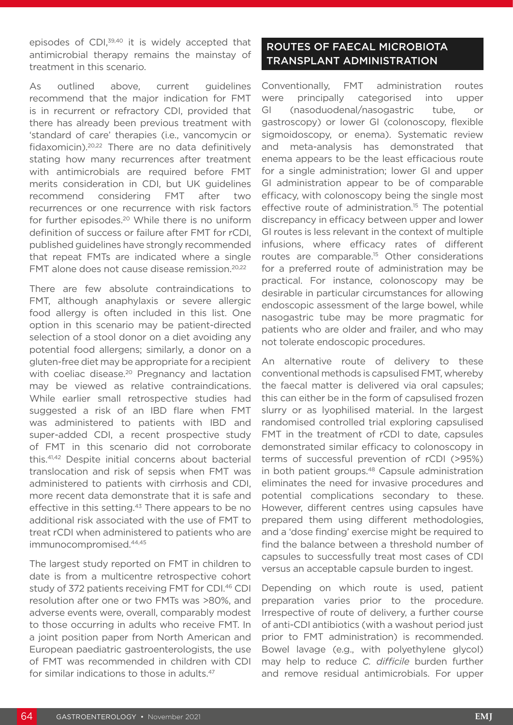episodes of CDI,<sup>39,40</sup> it is widely accepted that antimicrobial therapy remains the mainstay of treatment in this scenario.

As outlined above, current guidelines recommend that the major indication for FMT is in recurrent or refractory CDI, provided that there has already been previous treatment with 'standard of care' therapies (i.e., vancomycin or fidaxomicin).20,22 There are no data definitively stating how many recurrences after treatment with antimicrobials are required before FMT merits consideration in CDI, but UK guidelines recommend considering FMT after two recurrences or one recurrence with risk factors for further episodes.<sup>20</sup> While there is no uniform definition of success or failure after FMT for rCDI, published guidelines have strongly recommended that repeat FMTs are indicated where a single FMT alone does not cause disease remission.20,22

There are few absolute contraindications to FMT, although anaphylaxis or severe allergic food allergy is often included in this list. One option in this scenario may be patient-directed selection of a stool donor on a diet avoiding any potential food allergens; similarly, a donor on a gluten-free diet may be appropriate for a recipient with coeliac disease.<sup>20</sup> Pregnancy and lactation may be viewed as relative contraindications. While earlier small retrospective studies had suggested a risk of an IBD flare when FMT was administered to patients with IBD and super-added CDI, a recent prospective study of FMT in this scenario did not corroborate this.41,42 Despite initial concerns about bacterial translocation and risk of sepsis when FMT was administered to patients with cirrhosis and CDI, more recent data demonstrate that it is safe and effective in this setting.<sup>43</sup> There appears to be no additional risk associated with the use of FMT to treat rCDI when administered to patients who are immunocompromised.44,45

The largest study reported on FMT in children to date is from a multicentre retrospective cohort study of 372 patients receiving FMT for CDI.46 CDI resolution after one or two FMTs was >80%, and adverse events were, overall, comparably modest to those occurring in adults who receive FMT. In a joint position paper from North American and European paediatric gastroenterologists, the use of FMT was recommended in children with CDI for similar indications to those in adults.47

# ROUTES OF FAECAL MICROBIOTA TRANSPLANT ADMINISTRATION

Conventionally, FMT administration routes were principally categorised into upper GI (nasoduodenal/nasogastric tube, or gastroscopy) or lower GI (colonoscopy, flexible sigmoidoscopy, or enema). Systematic review and meta-analysis has demonstrated that enema appears to be the least efficacious route for a single administration; lower GI and upper GI administration appear to be of comparable efficacy, with colonoscopy being the single most effective route of administration.<sup>15</sup> The potential discrepancy in efficacy between upper and lower GI routes is less relevant in the context of multiple infusions, where efficacy rates of different routes are comparable.15 Other considerations for a preferred route of administration may be practical. For instance, colonoscopy may be desirable in particular circumstances for allowing endoscopic assessment of the large bowel, while nasogastric tube may be more pragmatic for patients who are older and frailer, and who may not tolerate endoscopic procedures.

An alternative route of delivery to these conventional methods is capsulised FMT, whereby the faecal matter is delivered via oral capsules; this can either be in the form of capsulised frozen slurry or as lyophilised material. In the largest randomised controlled trial exploring capsulised FMT in the treatment of rCDI to date, capsules demonstrated similar efficacy to colonoscopy in terms of successful prevention of rCDI (>95%) in both patient groups.<sup>48</sup> Capsule administration eliminates the need for invasive procedures and potential complications secondary to these. However, different centres using capsules have prepared them using different methodologies, and a 'dose finding' exercise might be required to find the balance between a threshold number of capsules to successfully treat most cases of CDI versus an acceptable capsule burden to ingest.

Depending on which route is used, patient preparation varies prior to the procedure. Irrespective of route of delivery, a further course of anti-CDI antibiotics (with a washout period just prior to FMT administration) is recommended. Bowel lavage (e.g., with polyethylene glycol) may help to reduce *C. difficile* burden further and remove residual antimicrobials. For upper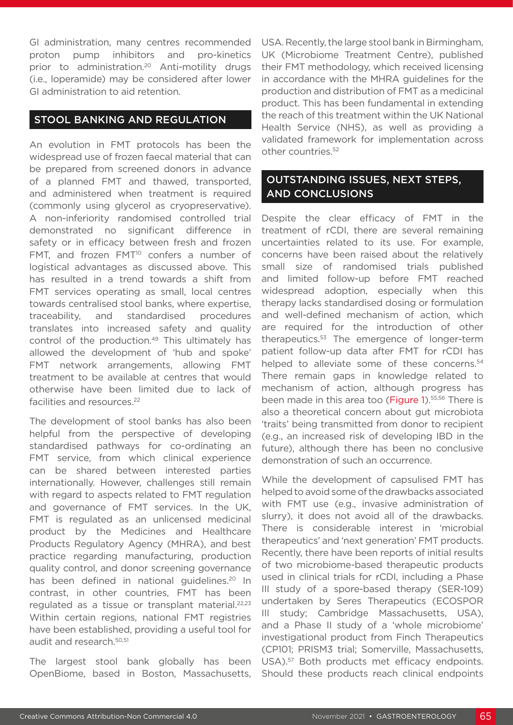GI administration, many centres recommended proton pump inhibitors and pro-kinetics prior to administration.<sup>20</sup> Anti-motility drugs (i.e., loperamide) may be considered after lower GI administration to aid retention.

### STOOL BANKING AND REGULATION

An evolution in FMT protocols has been the widespread use of frozen faecal material that can be prepared from screened donors in advance of a planned FMT and thawed, transported, and administered when treatment is required (commonly using glycerol as cryopreservative). A non-inferiority randomised controlled trial demonstrated no significant difference in safety or in efficacy between fresh and frozen FMT, and frozen FMT<sup>10</sup> confers a number of logistical advantages as discussed above. This has resulted in a trend towards a shift from FMT services operating as small, local centres towards centralised stool banks, where expertise, traceability, and standardised procedures translates into increased safety and quality control of the production.<sup>49</sup> This ultimately has allowed the development of 'hub and spoke' FMT network arrangements, allowing FMT treatment to be available at centres that would otherwise have been limited due to lack of facilities and resources.<sup>22</sup>

The development of stool banks has also been helpful from the perspective of developing standardised pathways for co-ordinating an FMT service, from which clinical experience can be shared between interested parties internationally. However, challenges still remain with regard to aspects related to FMT regulation and governance of FMT services. In the UK, FMT is regulated as an unlicensed medicinal product by the Medicines and Healthcare Products Regulatory Agency (MHRA), and best practice regarding manufacturing, production quality control, and donor screening governance has been defined in national quidelines.<sup>20</sup> In contrast, in other countries, FMT has been regulated as a tissue or transplant material.<sup>22,23</sup> Within certain regions, national FMT registries have been established, providing a useful tool for audit and research.50,51

The largest stool bank globally has been OpenBiome, based in Boston, Massachusetts, USA. Recently, the large stool bank in Birmingham, UK (Microbiome Treatment Centre), published their FMT methodology, which received licensing in accordance with the MHRA guidelines for the production and distribution of FMT as a medicinal product. This has been fundamental in extending the reach of this treatment within the UK National Health Service (NHS), as well as providing a validated framework for implementation across other countries.52

## OUTSTANDING ISSUES, NEXT STEPS, AND CONCLUSIONS

Despite the clear efficacy of FMT in the treatment of rCDI, there are several remaining uncertainties related to its use. For example, concerns have been raised about the relatively small size of randomised trials published and limited follow-up before FMT reached widespread adoption, especially when this therapy lacks standardised dosing or formulation and well-defined mechanism of action, which are required for the introduction of other therapeutics.53 The emergence of longer-term patient follow-up data after FMT for rCDI has helped to alleviate some of these concerns.<sup>54</sup> There remain gaps in knowledge related to mechanism of action, although progress has been made in this area too (Figure 1).<sup>55,56</sup> There is also a theoretical concern about gut microbiota 'traits' being transmitted from donor to recipient (e.g., an increased risk of developing IBD in the future), although there has been no conclusive demonstration of such an occurrence.

While the development of capsulised FMT has helped to avoid some of the drawbacks associated with FMT use (e.g., invasive administration of slurry), it does not avoid all of the drawbacks. There is considerable interest in 'microbial therapeutics' and 'next generation' FMT products. Recently, there have been reports of initial results of two microbiome-based therapeutic products used in clinical trials for rCDI, including a Phase III study of a spore-based therapy (SER-109) undertaken by Seres Therapeutics (ECOSPOR III study; Cambridge Massachusetts, USA), and a Phase II study of a 'whole microbiome' investigational product from Finch Therapeutics (CP101; PRISM3 trial; Somerville, Massachusetts, USA).57 Both products met efficacy endpoints. Should these products reach clinical endpoints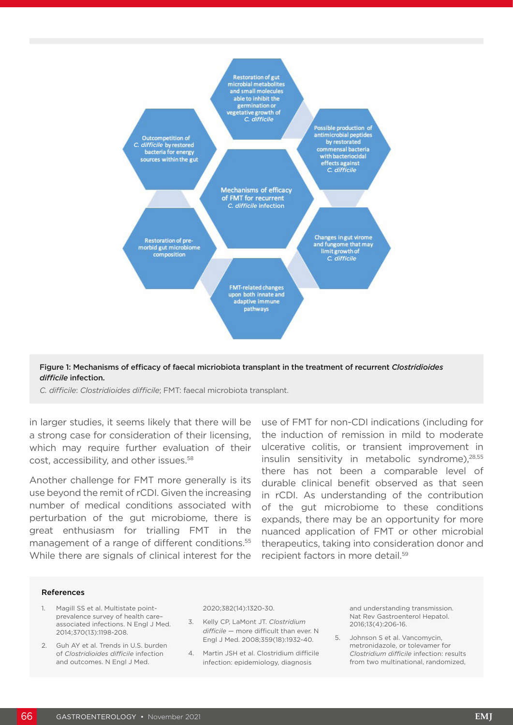

Figure 1: Mechanisms of efficacy of faecal micriobiota transplant in the treatment of recurrent *Clostridioides difficile* infection.

*C. difficile*: *Clostridioides difficile*; FMT: faecal microbiota transplant.

in larger studies, it seems likely that there will be a strong case for consideration of their licensing, which may require further evaluation of their cost, accessibility, and other issues.58

Another challenge for FMT more generally is its use beyond the remit of rCDI. Given the increasing number of medical conditions associated with perturbation of the gut microbiome, there is great enthusiasm for trialling FMT in the management of a range of different conditions.<sup>55</sup> While there are signals of clinical interest for the

use of FMT for non-CDI indications (including for the induction of remission in mild to moderate ulcerative colitis, or transient improvement in insulin sensitivity in metabolic syndrome),28,55 there has not been a comparable level of durable clinical benefit observed as that seen in rCDI. As understanding of the contribution of the gut microbiome to these conditions expands, there may be an opportunity for more nuanced application of FMT or other microbial therapeutics, taking into consideration donor and recipient factors in more detail.59

#### References

- 1. Magill SS et al. Multistate pointprevalence survey of health care– associated infections. N Engl J Med. 2014;370(13):1198-208.
- 2. Guh AY et al. Trends in U.S. burden of *Clostridioides difficile* infection and outcomes. N Engl J Med.

#### 2020;382(14):1320-30.

- 3. Kelly CP, LaMont JT. *Clostridium difficile* — more difficult than ever. N Engl J Med. 2008;359(18):1932-40.
- 4. Martin JSH et al. Clostridium difficile infection: epidemiology, diagnosis

and understanding transmission. Nat Rev Gastroenterol Hepatol. 2016;13(4):206-16.

5. Johnson S et al. Vancomycin, metronidazole, or tolevamer for *Clostridium difficile* infection: results from two multinational, randomized,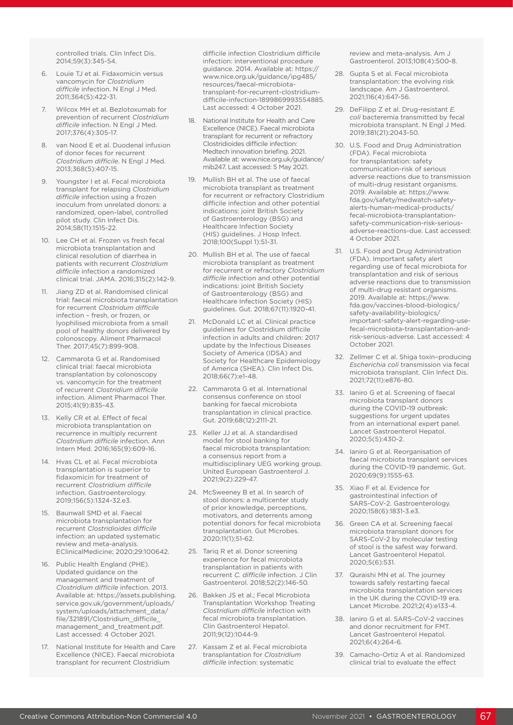controlled trials. Clin Infect Dis. 2014;59(3):345-54.

- 6. Louie TJ et al. Fidaxomicin versus vancomycin for *Clostridium difficile* infection. N Engl J Med. 2011;364(5):422-31.
- 7. Wilcox MH et al. Bezlotoxumab for prevention of recurrent *Clostridium difficile* infection. N Engl J Med. 2017;376(4):305-17.
- 8. van Nood E et al. Duodenal infusion of donor feces for recurrent *Clostridium difficile*. N Engl J Med. 2013;368(5):407-15.
- 9. Youngster I et al. Fecal microbiota transplant for relapsing *Clostridium difficile* infection using a frozen inoculum from unrelated donors: a randomized, open-label, controlled pilot study. Clin Infect Dis. 2014;58(11):1515-22.
- 10. Lee CH et al. Frozen vs fresh fecal microbiota transplantation and clinical resolution of diarrhea in patients with recurrent *Clostridium difficile* infection a randomized clinical trial. JAMA. 2016;315(2):142-9.
- 11. Jiang ZD et al. Randomised clinical trial: faecal microbiota transplantation for recurrent *Clostridum difficile* infection – fresh, or frozen, or lyophilised microbiota from a small pool of healthy donors delivered by colonoscopy. Aliment Pharmacol Ther. 2017;45(7):899-908.
- 12. Cammarota G et al. Randomised clinical trial: faecal microbiota transplantation by colonoscopy vs. vancomycin for the treatment of recurrent *Clostridium difficile* infection. Aliment Pharmacol Ther. 2015;41(9):835-43.
- 13. Kelly CR et al. Effect of fecal microbiota transplantation on recurrence in multiply recurrent *Clostridium difficile* infection. Ann Intern Med. 2016;165(9):609-16.
- 14. Hvas CL et al. Fecal microbiota transplantation is superior to fidaxomicin for treatment of recurrent *Clostridium difficile* infection. Gastroenterology. 2019;156(5):1324-32.e3.
- 15. Baunwall SMD et al. Faecal microbiota transplantation for recurrent *Clostridioides difficile*  infection: an updated systematic review and meta-analysis. EClinicalMedicine; 2020;29:100642.
- 16. Public Health England (PHE). Updated guidance on the management and treatment of *Clostridium difficile* infection. 2013. Available at: https://assets.publishing. service.gov.uk/government/uploads/ system/uploads/attachment\_data/ file/321891/Clostridium\_difficile\_ management and treatment.pdf. Last accessed: 4 October 2021.
- 17. National Institute for Health and Care Excellence (NICE). Faecal microbiota transplant for recurrent Clostridium

difficile infection Clostridium difficile infection: interventional procedure guidance. 2014. Available at: https:// www.nice.org.uk/guidance/ipg485/ resources/faecal-microbiotatransplant-for-recurrent-clostridiumdifficile-infection-1899869993554885. Last accessed: 4 October 2021.

- 18. National Institute for Health and Care Excellence (NICE). Faecal microbiota transplant for recurrent or refractory Clostridioides difficile infection: Medtech innovation briefing. 2021. Available at: www.nice.org.uk/guidance/ mib247. Last accessed: 5 May 2021.
- 19. Mullish BH et al. The use of faecal microbiota transplant as treatment for recurrent or refractory Clostridium difficile infection and other potential indications: joint British Society of Gastroenterology (BSG) and Healthcare Infection Society (HIS) guidelines. J Hosp Infect. 2018;100(Suppl 1):S1-31.
- 20. Mullish BH et al. The use of faecal microbiota transplant as treatment for recurrent or refractory *Clostridium difficile* infection and other potential indications: joint British Society of Gastroenterology (BSG) and Healthcare Infection Society (HIS) guidelines. Gut. 2018;67(11):1920-41.
- 21. McDonald LC et al. Clinical practice guidelines for Clostridium difficile infection in adults and children: 2017 update by the Infectious Diseases Society of America (IDSA) and Society for Healthcare Epidemiology of America (SHEA). Clin Infect Dis. 2018;66(7):e1-48.
- 22. Cammarota G et al. International consensus conference on stool banking for faecal microbiota transplantation in clinical practice. Gut. 2019;68(12):2111-21.
- 23. Keller JJ et al. A standardised model for stool banking for faecal microbiota transplantation: a consensus report from a multidisciplinary UEG working group. United European Gastroenterol J. 2021;9(2):229-47.
- 24. McSweeney B et al. In search of stool donors: a multicenter study of prior knowledge, perceptions, motivators, and deterrents among potential donors for fecal microbiota transplantation. Gut Microbes. 2020;11(1);51-62.
- 25. Tariq R et al. Donor screening experience for fecal microbiota transplantation in patients with recurrent *C. difficile* infection. J Clin Gastroenterol. 2018;52(2):146-50.
- 26. Bakken JS et al.; Fecal Microbiota Transplantation Workshop Treating *Clostridium difficile* infection with fecal microbiota transplantation. Clin Gastroenterol Hepatol. 2011;9(12):1044-9.
- 27. Kassam Z et al. Fecal microbiota transplantation for *Clostridium difficile* infection: systematic

review and meta-analysis. Am J Gastroenterol. 2013;108(4):500-8.

- 28. Gupta S et al. Fecal microbiota transplantation: the evolving risk landscape. Am J Gastroenterol. 2021;116(4):647-56.
- 29. DeFilipp Z et al. Drug-resistant *E. coli* bacteremia transmitted by fecal microbiota transplant. N Engl J Med. 2019;381(21):2043-50.
- 30. U.S. Food and Drug Administration (FDA). Fecal microbiota for transplantation: safety communication-risk of serious adverse reactions due to transmission of multi-drug resistant organisms. 2019. Available at: https://www. fda.gov/safety/medwatch-safetyalerts-human-medical-products/ fecal-microbiota-transplantationsafety-communication-risk-seriousadverse-reactions-due. Last accessed: 4 October 2021.
- 31. U.S. Food and Drug Administration (FDA). Important safety alert regarding use of fecal microbiota for transplantation and risk of serious adverse reactions due to transmission of multi-drug resistant organisms. 2019. Available at: https://www. fda.gov/vaccines-blood-biologics/ safety-availability-biologics/ important-safety-alert-regarding-usefecal-microbiota-transplantation-andrisk-serious-adverse. Last accessed: 4 October 2021.
- 32. Zellmer C et al. Shiga toxin–producing *Escherichia coli* transmission via fecal microbiota transplant. Clin Infect Dis. 2021;72(11):e876-80.
- 33. Ianiro G et al. Screening of faecal microbiota transplant donors during the COVID-19 outbreak: suggestions for urgent updates from an international expert panel. Lancet Gastroenterol Hepatol. 2020;5(5):430-2.
- 34. Ianiro G et al. Reorganisation of faecal microbiota transplant services during the COVID-19 pandemic. Gut. 2020;69(9):1555-63.
- 35. Xiao F et al. Evidence for gastrointestinal infection of SARS-CoV-2. Gastroenterology. 2020;158(6):1831-3.e3.
- 36. Green CA et al. Screening faecal microbiota transplant donors for SARS-CoV-2 by molecular testing of stool is the safest way forward. Lancet Gastroenterol Hepatol. 2020;5(6):531.
- 37. Quraishi MN et al. The journey towards safely restarting faecal microbiota transplantation services in the UK during the COVID-19 era. Lancet Microbe. 2021;2(4):e133-4.
- 38. Ianiro G et al. SARS-CoV-2 vaccines and donor recruitment for FMT. Lancet Gastroenterol Hepatol. 2021;6(4):264-6.
- 39. Camacho-Ortiz A et al. Randomized clinical trial to evaluate the effect